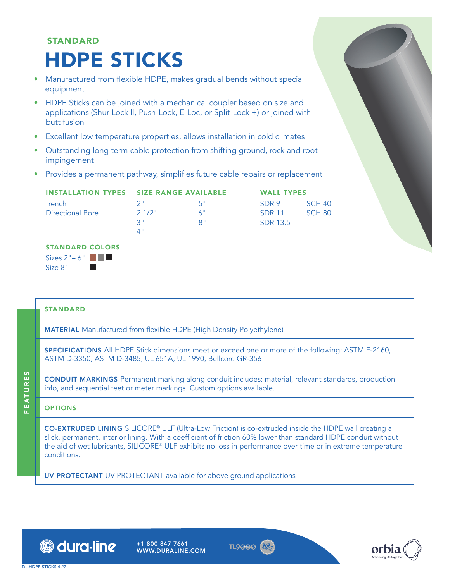# STANDARD HDPE STICKS

- Manufactured from flexible HDPE, makes gradual bends without special equipment
- HDPE Sticks can be joined with a mechanical coupler based on size and applications (Shur-Lock ll, Push-Lock, E-Loc, or Split-Lock +) or joined with butt fusion
- Excellent low temperature properties, allows installation in cold climates
- Outstanding long term cable protection from shifting ground, rock and root impingement
- Provides a permanent pathway, simplifies future cable repairs or replacement

|                         | <b>INSTALLATION TYPES SIZE RANGE AVAILABLE</b> |                   | <b>WALL TYPES</b> |        |  |
|-------------------------|------------------------------------------------|-------------------|-------------------|--------|--|
| Trench                  |                                                | -5"               | SDR 9             | SCH 40 |  |
| <b>Directional Bore</b> | 21/2"                                          | $A^{\mu}$         | SDR 11            | SCH 80 |  |
|                         | 3"                                             | $R^{\mathrm{II}}$ | <b>SDR 13.5</b>   |        |  |
|                         |                                                |                   |                   |        |  |

## STANDARD COLORS

Sizes  $2" - 6"$   $\blacksquare$ Size  $8"$ 

### STANDARD

MATERIAL Manufactured from flexible HDPE (High Density Polyethylene)

SPECIFICATIONS All HDPE Stick dimensions meet or exceed one or more of the following: ASTM F-2160, ASTM D-3350, ASTM D-3485, UL 651A, UL 1990, Bellcore GR-356

CONDUIT MARKINGS Permanent marking along conduit includes: material, relevant standards, production info, and sequential feet or meter markings. Custom options available.

## OPTIONS

FEATURES

**FEATURES** 

CO-EXTRUDED LINING SILICORE® ULF (Ultra-Low Friction) is co-extruded inside the HDPE wall creating a slick, permanent, interior lining. With a coefficient of friction 60% lower than standard HDPE conduit without the aid of wet lubricants, SILICORE® ULF exhibits no loss in performance over time or in extreme temperature conditions.

UV PROTECTANT UV PROTECTANT available for above ground applications



+1 800 847 7661 WWW.DURALINE.COM





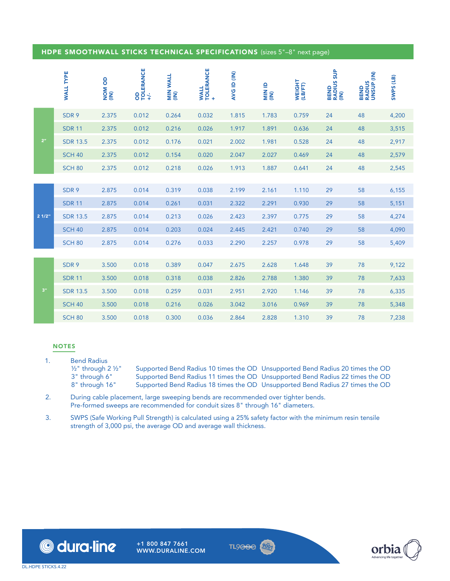#### HDPE SMOOTHWALL STICKS TECHNICAL SPECIFICATIONS (sizes 5"–8" next page)

|                | <b>WALL TYPE</b> | NOM OD | OD<br>TOLERANCE<br>+/- | MIN WALL<br>(IN) | WALL<br>TOLERANCE<br>+ | AVG ID (IN) | al NIIN<br>(IN) | WEIGHT<br>(LB/FT) | <b>BEND<br/>RADIUS SUP</b><br>(IN) | BEND<br>RADIUS<br>UNSUP (IN) | SWPS (LB) |
|----------------|------------------|--------|------------------------|------------------|------------------------|-------------|-----------------|-------------------|------------------------------------|------------------------------|-----------|
|                | SDR 9            | 2.375  | 0.012                  | 0.264            | 0.032                  | 1.815       | 1.783           | 0.759             | 24                                 | 48                           | 4,200     |
|                | <b>SDR 11</b>    | 2.375  | 0.012                  | 0.216            | 0.026                  | 1.917       | 1.891           | 0.636             | 24                                 | 48                           | 3,515     |
| 2 <sup>n</sup> | <b>SDR 13.5</b>  | 2.375  | 0.012                  | 0.176            | 0.021                  | 2.002       | 1.981           | 0.528             | 24                                 | 48                           | 2,917     |
|                | <b>SCH 40</b>    | 2.375  | 0.012                  | 0.154            | 0.020                  | 2.047       | 2.027           | 0.469             | 24                                 | 48                           | 2,579     |
|                | <b>SCH 80</b>    | 2.375  | 0.012                  | 0.218            | 0.026                  | 1.913       | 1.887           | 0.641             | 24                                 | 48                           | 2,545     |
|                |                  |        |                        |                  |                        |             |                 |                   |                                    |                              |           |
|                | SDR 9            | 2.875  | 0.014                  | 0.319            | 0.038                  | 2.199       | 2.161           | 1.110             | 29                                 | 58                           | 6,155     |
|                | <b>SDR 11</b>    | 2.875  | 0.014                  | 0.261            | 0.031                  | 2.322       | 2.291           | 0.930             | 29                                 | 58                           | 5,151     |
| 21/2"          | <b>SDR 13.5</b>  | 2.875  | 0.014                  | 0.213            | 0.026                  | 2.423       | 2.397           | 0.775             | 29                                 | 58                           | 4,274     |
|                | <b>SCH 40</b>    | 2.875  | 0.014                  | 0.203            | 0.024                  | 2.445       | 2.421           | 0.740             | 29                                 | 58                           | 4,090     |
|                | <b>SCH 80</b>    | 2.875  | 0.014                  | 0.276            | 0.033                  | 2.290       | 2.257           | 0.978             | 29                                 | 58                           | 5,409     |
|                |                  |        |                        |                  |                        |             |                 |                   |                                    |                              |           |
|                | SDR 9            | 3.500  | 0.018                  | 0.389            | 0.047                  | 2.675       | 2.628           | 1.648             | 39                                 | 78                           | 9,122     |
|                | <b>SDR 11</b>    | 3.500  | 0.018                  | 0.318            | 0.038                  | 2.826       | 2.788           | 1.380             | 39                                 | 78                           | 7,633     |
| $3"$           | <b>SDR 13.5</b>  | 3.500  | 0.018                  | 0.259            | 0.031                  | 2.951       | 2.920           | 1.146             | 39                                 | 78                           | 6,335     |
|                | <b>SCH 40</b>    | 3.500  | 0.018                  | 0.216            | 0.026                  | 3.042       | 3.016           | 0.969             | 39                                 | 78                           | 5,348     |
|                | <b>SCH 80</b>    | 3.500  | 0.018                  | 0.300            | 0.036                  | 2.864       | 2.828           | 1.310             | 39                                 | 78                           | 7,238     |

#### NOTES

- 1. Bend Radius<br> $\frac{1}{2}$  through 2  $\frac{1}{2}$ " ½" through 2 ½" Supported Bend Radius 10 times the OD Unsupported Bend Radius 20 times the OD
	- 3" through 6" Supported Bend Radius 11 times the OD Unsupported Bend Radius 22 times the OD<br>8" through 16" Supported Bend Radius 18 times the OD Unsupported Bend Radius 27 times the OD
		- Supported Bend Radius 18 times the OD Unsupported Bend Radius 27 times the OD
- 2. During cable placement, large sweeping bends are recommended over tighter bends. Pre-formed sweeps are recommended for conduit sizes 8" through 16" diameters.
- 3. SWPS (Safe Working Pull Strength) is calculated using a 25% safety factor with the minimum resin tensile strength of 3,000 psi, the average OD and average wall thickness.





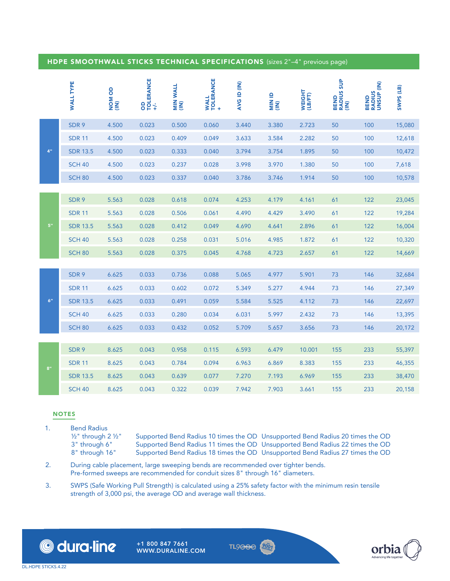## HDPE SMOOTHWALL STICKS TECHNICAL SPECIFICATIONS (sizes 2"–4" previous page)

|             | <b>WALL TYPE</b> | <b>NOM OD</b><br>(IN) | OD<br>TOLERANCE<br>+/. | MIN WALL<br>(IN) | WALL<br>TOLERANCE<br>+ | AVG ID (IN) |       | WEIGHT<br>(LB/FT) | <b>BEND<br/>RADIUS SUP<br/>(IN)</b> | BEND<br>RADIUS<br>UNSUP (IN) | SWPS (LB) |
|-------------|------------------|-----------------------|------------------------|------------------|------------------------|-------------|-------|-------------------|-------------------------------------|------------------------------|-----------|
|             | SDR 9            | 4.500                 | 0.023                  | 0.500            | 0.060                  | 3.440       | 3.380 | 2.723             | 50                                  | 100                          | 15,080    |
|             | <b>SDR 11</b>    | 4.500                 | 0.023                  | 0.409            | 0.049                  | 3.633       | 3.584 | 2.282             | 50                                  | 100                          | 12,618    |
| $4^{\rm n}$ | <b>SDR 13.5</b>  | 4.500                 | 0.023                  | 0.333            | 0.040                  | 3.794       | 3.754 | 1.895             | 50                                  | 100                          | 10,472    |
|             | <b>SCH 40</b>    | 4.500                 | 0.023                  | 0.237            | 0.028                  | 3.998       | 3.970 | 1.380             | 50                                  | 100                          | 7,618     |
|             | <b>SCH 80</b>    | 4.500                 | 0.023                  | 0.337            | 0.040                  | 3.786       | 3.746 | 1.914             | 50                                  | 100                          | 10,578    |
|             |                  |                       |                        |                  |                        |             |       |                   |                                     |                              |           |
|             | SDR 9            | 5.563                 | 0.028                  | 0.618            | 0.074                  | 4.253       | 4.179 | 4.161             | 61                                  | 122                          | 23,045    |
|             | <b>SDR 11</b>    | 5.563                 | 0.028                  | 0.506            | 0.061                  | 4.490       | 4.429 | 3.490             | 61                                  | 122                          | 19,284    |
| $5"$        | <b>SDR 13.5</b>  | 5.563                 | 0.028                  | 0.412            | 0.049                  | 4.690       | 4.641 | 2.896             | 61                                  | 122                          | 16,004    |
|             | <b>SCH 40</b>    | 5.563                 | 0.028                  | 0.258            | 0.031                  | 5.016       | 4.985 | 1.872             | 61                                  | 122                          | 10,320    |
|             | <b>SCH 80</b>    | 5.563                 | 0.028                  | 0.375            | 0.045                  | 4.768       | 4.723 | 2.657             | 61                                  | 122                          | 14,669    |
|             |                  |                       |                        |                  |                        |             |       |                   |                                     |                              |           |
|             | SDR 9            | 6.625                 | 0.033                  | 0.736            | 0.088                  | 5.065       | 4.977 | 5.901             | 73                                  | 146                          | 32,684    |
|             | <b>SDR 11</b>    | 6.625                 | 0.033                  | 0.602            | 0.072                  | 5.349       | 5.277 | 4.944             | 73                                  | 146                          | 27,349    |
| $6^{\rm n}$ | <b>SDR 13.5</b>  | 6.625                 | 0.033                  | 0.491            | 0.059                  | 5.584       | 5.525 | 4.112             | 73                                  | 146                          | 22,697    |
|             | <b>SCH 40</b>    | 6.625                 | 0.033                  | 0.280            | 0.034                  | 6.031       | 5.997 | 2.432             | 73                                  | 146                          | 13,395    |
|             | <b>SCH 80</b>    | 6.625                 | 0.033                  | 0.432            | 0.052                  | 5.709       | 5.657 | 3.656             | 73                                  | 146                          | 20,172    |
|             |                  |                       |                        |                  |                        |             |       |                   |                                     |                              |           |
|             | SDR 9            | 8.625                 | 0.043                  | 0.958            | 0.115                  | 6.593       | 6.479 | 10.001            | 155                                 | 233                          | 55,397    |
| 8"          | <b>SDR 11</b>    | 8.625                 | 0.043                  | 0.784            | 0.094                  | 6.963       | 6.869 | 8.383             | 155                                 | 233                          | 46,355    |
|             | <b>SDR 13.5</b>  | 8.625                 | 0.043                  | 0.639            | 0.077                  | 7.270       | 7.193 | 6.969             | 155                                 | 233                          | 38,470    |
|             | <b>SCH 40</b>    | 8.625                 | 0.043                  | 0.322            | 0.039                  | 7.942       | 7.903 | 3.661             | 155                                 | 233                          | 20,158    |

#### NOTES

- 1. Bend Radius<br> $\frac{1}{2}$  through 2  $\frac{1}{2}$ "
	-

½" through 2 ½" Supported Bend Radius 10 times the OD Unsupported Bend Radius 20 times the OD 3" through 6" Supported Bend Radius 11 times the OD Unsupported Bend Radius 22 times the OD 8" through 16" Supported Bend Radius 18 times the OD Unsupported Bend Radius 27 times the OD Supported Bend Radius 18 times the OD Unsupported Bend Radius 27 times the OD

- 2. During cable placement, large sweeping bends are recommended over tighter bends. Pre-formed sweeps are recommended for conduit sizes 8" through 16" diameters.
- 3. SWPS (Safe Working Pull Strength) is calculated using a 25% safety factor with the minimum resin tensile strength of 3,000 psi, the average OD and average wall thickness.



+1 800 847 7661 WWW.DURALINE.COM